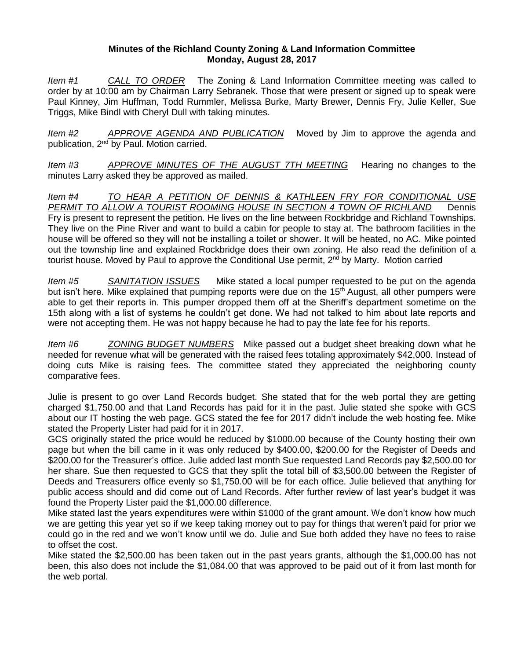## **Minutes of the Richland County Zoning & Land Information Committee Monday, August 28, 2017**

*Item #1 CALL TO ORDER* The Zoning & Land Information Committee meeting was called to order by at 10:00 am by Chairman Larry Sebranek. Those that were present or signed up to speak were Paul Kinney, Jim Huffman, Todd Rummler, Melissa Burke, Marty Brewer, Dennis Fry, Julie Keller, Sue Triggs, Mike Bindl with Cheryl Dull with taking minutes.

*Item #2 APPROVE AGENDA AND PUBLICATION* Moved by Jim to approve the agenda and publication, 2nd by Paul. Motion carried.

*Item #3 APPROVE MINUTES OF THE AUGUST 7TH MEETING* Hearing no changes to the minutes Larry asked they be approved as mailed.

*Item #4 TO HEAR A PETITION OF DENNIS & KATHLEEN FRY FOR CONDITIONAL USE*  PERMIT TO ALLOW A TOURIST ROOMING HOUSE IN SECTION 4 TOWN OF RICHLAND Dennis Fry is present to represent the petition. He lives on the line between Rockbridge and Richland Townships. They live on the Pine River and want to build a cabin for people to stay at. The bathroom facilities in the house will be offered so they will not be installing a toilet or shower. It will be heated, no AC. Mike pointed out the township line and explained Rockbridge does their own zoning. He also read the definition of a tourist house. Moved by Paul to approve the Conditional Use permit, 2<sup>nd</sup> by Marty. Motion carried

*Item #5 SANITATION ISSUES* Mike stated a local pumper requested to be put on the agenda but isn't here. Mike explained that pumping reports were due on the 15<sup>th</sup> August, all other pumpers were able to get their reports in. This pumper dropped them off at the Sheriff's department sometime on the 15th along with a list of systems he couldn't get done. We had not talked to him about late reports and were not accepting them. He was not happy because he had to pay the late fee for his reports.

*Item #6 ZONING BUDGET NUMBERS* Mike passed out a budget sheet breaking down what he needed for revenue what will be generated with the raised fees totaling approximately \$42,000. Instead of doing cuts Mike is raising fees. The committee stated they appreciated the neighboring county comparative fees.

Julie is present to go over Land Records budget. She stated that for the web portal they are getting charged \$1,750.00 and that Land Records has paid for it in the past. Julie stated she spoke with GCS about our IT hosting the web page. GCS stated the fee for 2017 didn't include the web hosting fee. Mike stated the Property Lister had paid for it in 2017.

GCS originally stated the price would be reduced by \$1000.00 because of the County hosting their own page but when the bill came in it was only reduced by \$400.00, \$200.00 for the Register of Deeds and \$200.00 for the Treasurer's office. Julie added last month Sue requested Land Records pay \$2,500.00 for her share. Sue then requested to GCS that they split the total bill of \$3,500.00 between the Register of Deeds and Treasurers office evenly so \$1,750.00 will be for each office. Julie believed that anything for public access should and did come out of Land Records. After further review of last year's budget it was found the Property Lister paid the \$1,000.00 difference.

Mike stated last the years expenditures were within \$1000 of the grant amount. We don't know how much we are getting this year yet so if we keep taking money out to pay for things that weren't paid for prior we could go in the red and we won't know until we do. Julie and Sue both added they have no fees to raise to offset the cost.

Mike stated the \$2,500.00 has been taken out in the past years grants, although the \$1,000.00 has not been, this also does not include the \$1,084.00 that was approved to be paid out of it from last month for the web portal.